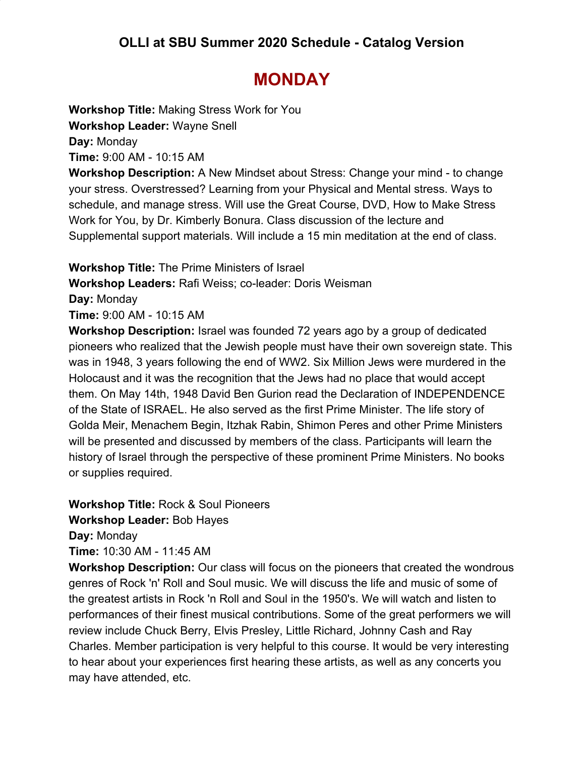## **MONDAY**

**Workshop Title:** Making Stress Work for You **Workshop Leader:** Wayne Snell

**Day:** Monday

**Time:** 9:00 AM - 10:15 AM

**Workshop Description:** A New Mindset about Stress: Change your mind - to change your stress. Overstressed? Learning from your Physical and Mental stress. Ways to schedule, and manage stress. Will use the Great Course, DVD, How to Make Stress Work for You, by Dr. Kimberly Bonura. Class discussion of the lecture and Supplemental support materials. Will include a 15 min meditation at the end of class.

**Workshop Title:** The Prime Ministers of Israel

**Workshop Leaders:** Rafi Weiss; co-leader: Doris Weisman

**Day:** Monday

**Time:** 9:00 AM - 10:15 AM

**Workshop Description:** Israel was founded 72 years ago by a group of dedicated pioneers who realized that the Jewish people must have their own sovereign state. This was in 1948, 3 years following the end of WW2. Six Million Jews were murdered in the Holocaust and it was the recognition that the Jews had no place that would accept them. On May 14th, 1948 David Ben Gurion read the Declaration of INDEPENDENCE of the State of ISRAEL. He also served as the first Prime Minister. The life story of Golda Meir, Menachem Begin, Itzhak Rabin, Shimon Peres and other Prime Ministers will be presented and discussed by members of the class. Participants will learn the history of Israel through the perspective of these prominent Prime Ministers. No books or supplies required.

**Workshop Title:** Rock & Soul Pioneers **Workshop Leader:** Bob Hayes

**Day:** Monday

**Time:** 10:30 AM - 11:45 AM

**Workshop Description:** Our class will focus on the pioneers that created the wondrous genres of Rock 'n' Roll and Soul music. We will discuss the life and music of some of the greatest artists in Rock 'n Roll and Soul in the 1950's. We will watch and listen to performances of their finest musical contributions. Some of the great performers we will review include Chuck Berry, Elvis Presley, Little Richard, Johnny Cash and Ray Charles. Member participation is very helpful to this course. It would be very interesting to hear about your experiences first hearing these artists, as well as any concerts you may have attended, etc.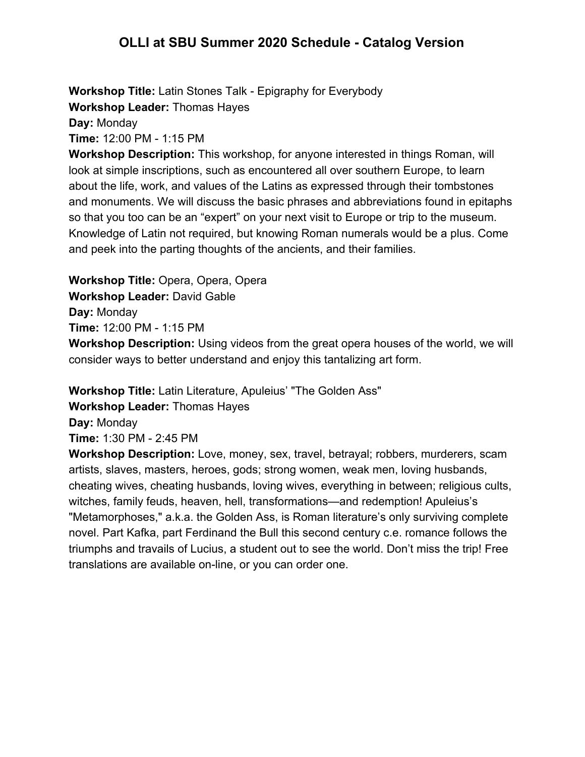**Workshop Title:** Latin Stones Talk - Epigraphy for Everybody **Workshop Leader:** Thomas Hayes

**Day:** Monday

**Time:** 12:00 PM - 1:15 PM

**Workshop Description:** This workshop, for anyone interested in things Roman, will look at simple inscriptions, such as encountered all over southern Europe, to learn about the life, work, and values of the Latins as expressed through their tombstones and monuments. We will discuss the basic phrases and abbreviations found in epitaphs so that you too can be an "expert" on your next visit to Europe or trip to the museum. Knowledge of Latin not required, but knowing Roman numerals would be a plus. Come and peek into the parting thoughts of the ancients, and their families.

**Workshop Title:** Opera, Opera, Opera **Workshop Leader:** David Gable **Day:** Monday **Time:** 12:00 PM - 1:15 PM **Workshop Description:** Using videos from the great opera houses of the world, we will consider ways to better understand and enjoy this tantalizing art form.

**Workshop Title:** Latin Literature, Apuleius' "The Golden Ass"

**Workshop Leader:** Thomas Hayes

**Day:** Monday

**Time:** 1:30 PM - 2:45 PM

**Workshop Description:** Love, money, sex, travel, betrayal; robbers, murderers, scam artists, slaves, masters, heroes, gods; strong women, weak men, loving husbands, cheating wives, cheating husbands, loving wives, everything in between; religious cults, witches, family feuds, heaven, hell, transformations—and redemption! Apuleius's "Metamorphoses," a.k.a. the Golden Ass, is Roman literature's only surviving complete novel. Part Kafka, part Ferdinand the Bull this second century c.e. romance follows the triumphs and travails of Lucius, a student out to see the world. Don't miss the trip! Free translations are available on-line, or you can order one.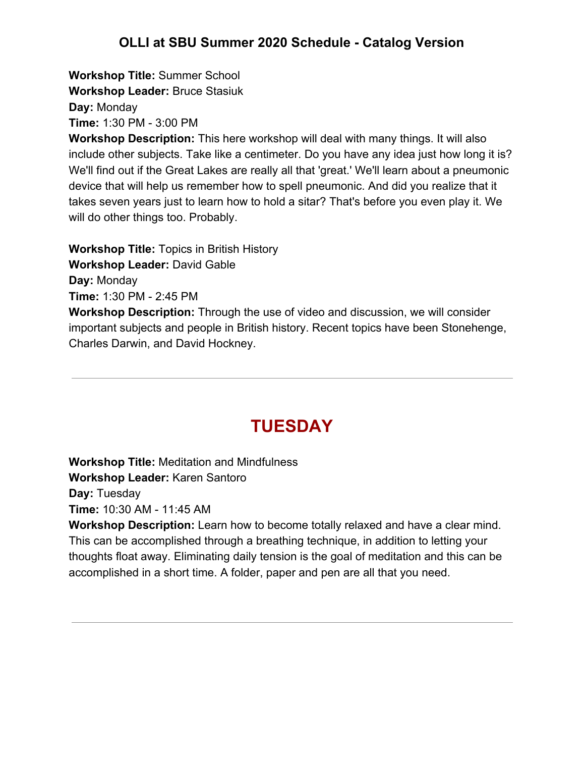**Workshop Title:** Summer School **Workshop Leader:** Bruce Stasiuk **Day:** Monday

**Time:** 1:30 PM - 3:00 PM

**Workshop Description:** This here workshop will deal with many things. It will also include other subjects. Take like a centimeter. Do you have any idea just how long it is? We'll find out if the Great Lakes are really all that 'great.' We'll learn about a pneumonic device that will help us remember how to spell pneumonic. And did you realize that it takes seven years just to learn how to hold a sitar? That's before you even play it. We will do other things too. Probably.

**Workshop Title:** Topics in British History **Workshop Leader:** David Gable **Day:** Monday **Time:** 1:30 PM - 2:45 PM

**Workshop Description:** Through the use of video and discussion, we will consider important subjects and people in British history. Recent topics have been Stonehenge, Charles Darwin, and David Hockney.

### **TUESDAY**

**Workshop Title:** Meditation and Mindfulness

**Workshop Leader:** Karen Santoro

**Day:** Tuesday

**Time:** 10:30 AM - 11:45 AM

**Workshop Description:** Learn how to become totally relaxed and have a clear mind. This can be accomplished through a breathing technique, in addition to letting your thoughts float away. Eliminating daily tension is the goal of meditation and this can be accomplished in a short time. A folder, paper and pen are all that you need.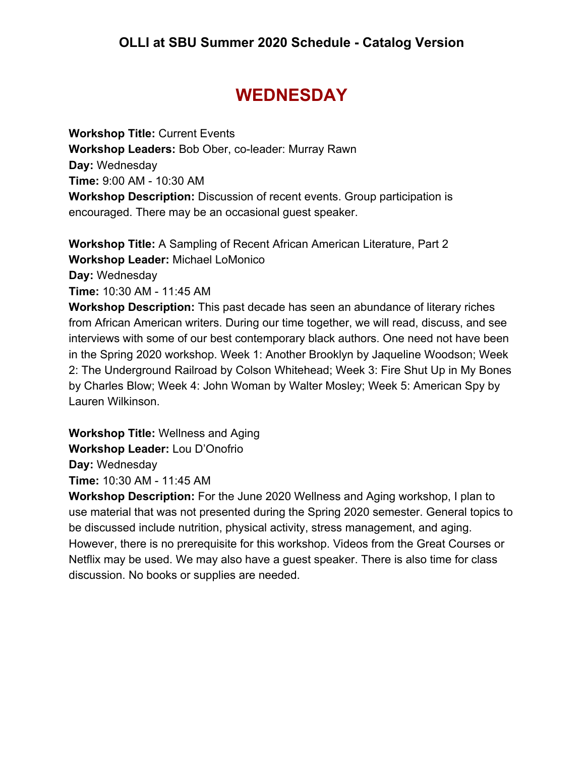# **WEDNESDAY**

**Workshop Title:** Current Events **Workshop Leaders:** Bob Ober, co-leader: Murray Rawn **Day:** Wednesday **Time:** 9:00 AM - 10:30 AM **Workshop Description:** Discussion of recent events. Group participation is encouraged. There may be an occasional guest speaker.

**Workshop Title:** A Sampling of Recent African American Literature, Part 2 **Workshop Leader:** Michael LoMonico **Day:** Wednesday

**Time:** 10:30 AM - 11:45 AM

**Workshop Description:** This past decade has seen an abundance of literary riches from African American writers. During our time together, we will read, discuss, and see interviews with some of our best contemporary black authors. One need not have been in the Spring 2020 workshop. Week 1: Another Brooklyn by Jaqueline Woodson; Week 2: The Underground Railroad by Colson Whitehead; Week 3: Fire Shut Up in My Bones by Charles Blow; Week 4: John Woman by Walter Mosley; Week 5: American Spy by Lauren Wilkinson.

**Workshop Title:** Wellness and Aging **Workshop Leader:** Lou D'Onofrio **Day:** Wednesday **Time:** 10:30 AM - 11:45 AM

**Workshop Description:** For the June 2020 Wellness and Aging workshop, I plan to use material that was not presented during the Spring 2020 semester. General topics to be discussed include nutrition, physical activity, stress management, and aging. However, there is no prerequisite for this workshop. Videos from the Great Courses or Netflix may be used. We may also have a guest speaker. There is also time for class discussion. No books or supplies are needed.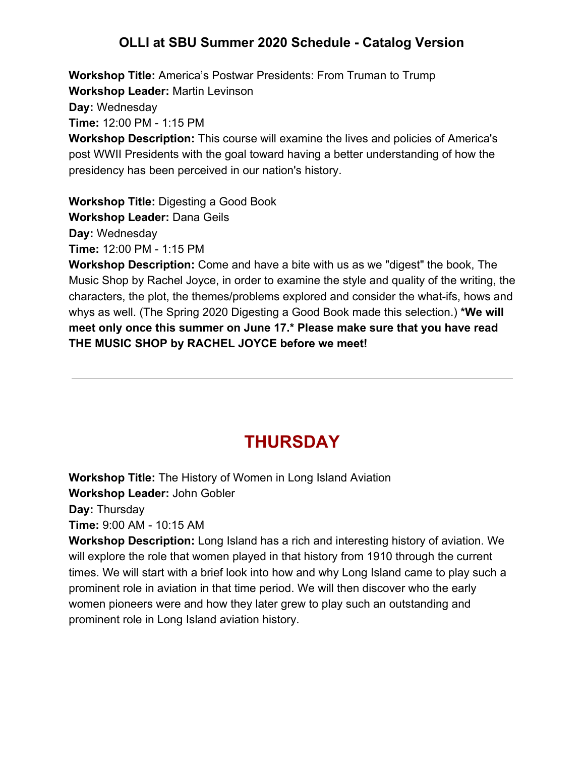**Workshop Title:** America's Postwar Presidents: From Truman to Trump **Workshop Leader:** Martin Levinson

**Day:** Wednesday

**Time:** 12:00 PM - 1:15 PM

**Workshop Description:** This course will examine the lives and policies of America's post WWII Presidents with the goal toward having a better understanding of how the presidency has been perceived in our nation's history.

**Workshop Title:** Digesting a Good Book

**Workshop Leader:** Dana Geils

**Day:** Wednesday

**Time:** 12:00 PM - 1:15 PM

**Workshop Description:** Come and have a bite with us as we "digest" the book, The Music Shop by Rachel Joyce, in order to examine the style and quality of the writing, the characters, the plot, the themes/problems explored and consider the what-ifs, hows and whys as well. (The Spring 2020 Digesting a Good Book made this selection.) **\*We will meet only once this summer on June 17.\* Please make sure that you have read THE MUSIC SHOP by RACHEL JOYCE before we meet!**

# **THURSDAY**

**Workshop Title:** The History of Women in Long Island Aviation

**Workshop Leader:** John Gobler

**Day:** Thursday

**Time:** 9:00 AM - 10:15 AM

**Workshop Description:** Long Island has a rich and interesting history of aviation. We will explore the role that women played in that history from 1910 through the current times. We will start with a brief look into how and why Long Island came to play such a prominent role in aviation in that time period. We will then discover who the early women pioneers were and how they later grew to play such an outstanding and prominent role in Long Island aviation history.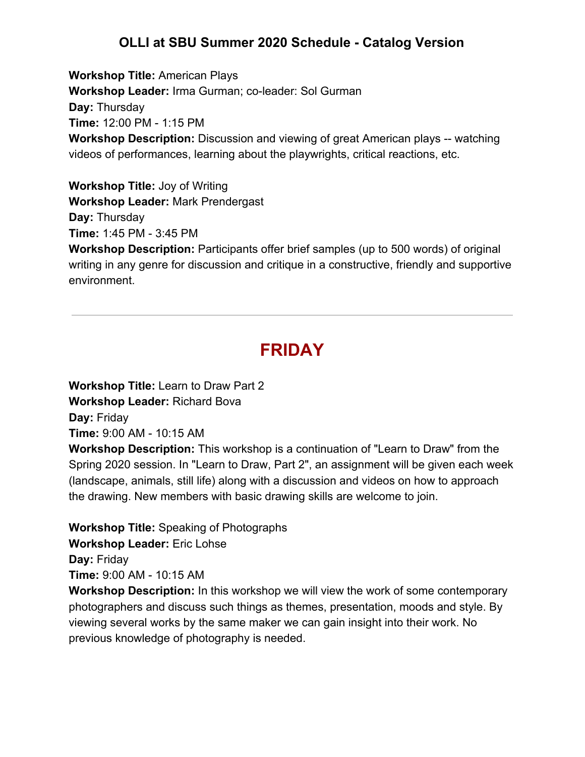**Workshop Title:** American Plays **Workshop Leader:** Irma Gurman; co-leader: Sol Gurman **Day:** Thursday **Time:** 12:00 PM - 1:15 PM **Workshop Description:** Discussion and viewing of great American plays -- watching videos of performances, learning about the playwrights, critical reactions, etc.

**Workshop Title:** Joy of Writing **Workshop Leader:** Mark Prendergast **Day:** Thursday **Time:** 1:45 PM - 3:45 PM

**Workshop Description:** Participants offer brief samples (up to 500 words) of original writing in any genre for discussion and critique in a constructive, friendly and supportive environment.

# **FRIDAY**

**Workshop Title:** Learn to Draw Part 2 **Workshop Leader:** Richard Bova **Day:** Friday **Time:** 9:00 AM - 10:15 AM

**Workshop Description:** This workshop is a continuation of "Learn to Draw" from the Spring 2020 session. In "Learn to Draw, Part 2", an assignment will be given each week (landscape, animals, still life) along with a discussion and videos on how to approach the drawing. New members with basic drawing skills are welcome to join.

**Workshop Title:** Speaking of Photographs

**Workshop Leader:** Eric Lohse

**Day:** Friday

**Time:** 9:00 AM - 10:15 AM

**Workshop Description:** In this workshop we will view the work of some contemporary photographers and discuss such things as themes, presentation, moods and style. By viewing several works by the same maker we can gain insight into their work. No previous knowledge of photography is needed.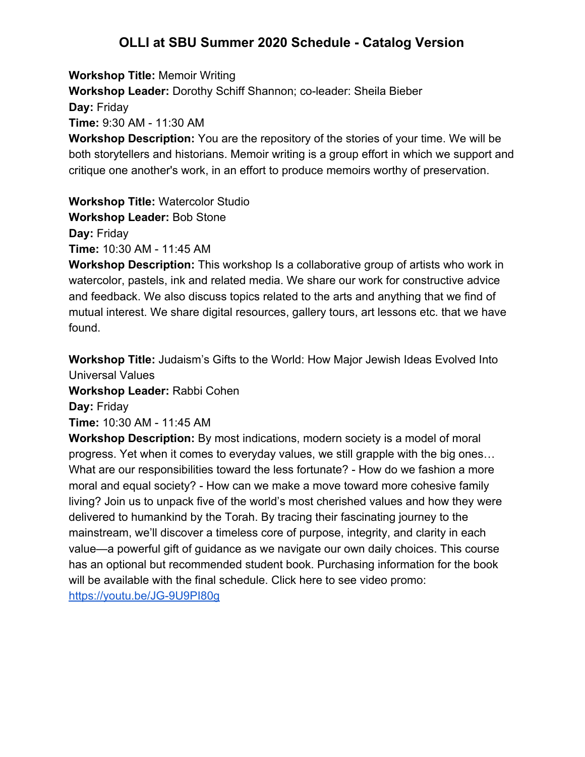**Workshop Title:** Memoir Writing

**Workshop Leader:** Dorothy Schiff Shannon; co-leader: Sheila Bieber

**Day:** Friday

**Time:** 9:30 AM - 11:30 AM

**Workshop Description:** You are the repository of the stories of your time. We will be both storytellers and historians. Memoir writing is a group effort in which we support and critique one another's work, in an effort to produce memoirs worthy of preservation.

**Workshop Title:** Watercolor Studio

**Workshop Leader:** Bob Stone

**Day:** Friday

**Time:** 10:30 AM - 11:45 AM

**Workshop Description:** This workshop Is a collaborative group of artists who work in watercolor, pastels, ink and related media. We share our work for constructive advice and feedback. We also discuss topics related to the arts and anything that we find of mutual interest. We share digital resources, gallery tours, art lessons etc. that we have found.

**Workshop Title:** Judaism's Gifts to the World: How Major Jewish Ideas Evolved Into Universal Values

**Workshop Leader:** Rabbi Cohen

**Day:** Friday

**Time:** 10:30 AM - 11:45 AM

**Workshop Description:** By most indications, modern society is a model of moral progress. Yet when it comes to everyday values, we still grapple with the big ones… What are our responsibilities toward the less fortunate? - How do we fashion a more moral and equal society? - How can we make a move toward more cohesive family living? Join us to unpack five of the world's most cherished values and how they were delivered to humankind by the Torah. By tracing their fascinating journey to the mainstream, we'll discover a timeless core of purpose, integrity, and clarity in each value—a powerful gift of guidance as we navigate our own daily choices. This course has an optional but recommended student book. Purchasing information for the book will be available with the final schedule. Click here to see video promo: <https://youtu.be/JG-9U9PI80g>